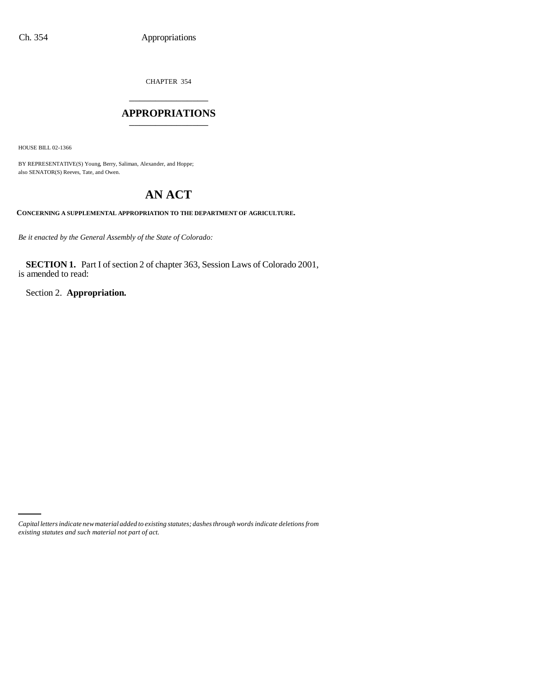CHAPTER 354 \_\_\_\_\_\_\_\_\_\_\_\_\_\_\_

### **APPROPRIATIONS** \_\_\_\_\_\_\_\_\_\_\_\_\_\_\_

HOUSE BILL 02-1366

BY REPRESENTATIVE(S) Young, Berry, Saliman, Alexander, and Hoppe; also SENATOR(S) Reeves, Tate, and Owen.

# **AN ACT**

**CONCERNING A SUPPLEMENTAL APPROPRIATION TO THE DEPARTMENT OF AGRICULTURE.**

*Be it enacted by the General Assembly of the State of Colorado:*

**SECTION 1.** Part I of section 2 of chapter 363, Session Laws of Colorado 2001, is amended to read:

Section 2. **Appropriation.**

*Capital letters indicate new material added to existing statutes; dashes through words indicate deletions from existing statutes and such material not part of act.*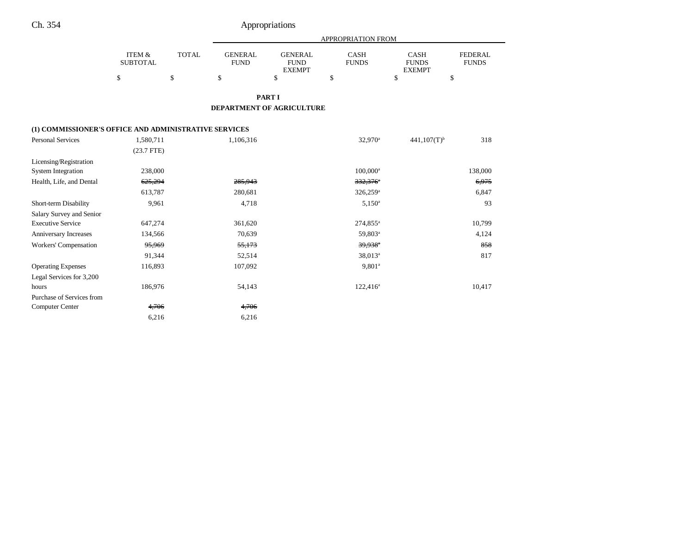# Ch. 354 Appropriations

|                                                       |                                      |              |                               |                                                | <b>APPROPRIATION FROM</b>   |                                              |                                |
|-------------------------------------------------------|--------------------------------------|--------------|-------------------------------|------------------------------------------------|-----------------------------|----------------------------------------------|--------------------------------|
|                                                       | <b>ITEM &amp;</b><br><b>SUBTOTAL</b> | <b>TOTAL</b> | <b>GENERAL</b><br><b>FUND</b> | <b>GENERAL</b><br><b>FUND</b><br><b>EXEMPT</b> | <b>CASH</b><br><b>FUNDS</b> | <b>CASH</b><br><b>FUNDS</b><br><b>EXEMPT</b> | <b>FEDERAL</b><br><b>FUNDS</b> |
|                                                       | \$                                   | \$           | \$                            | \$                                             | \$                          | \$<br>\$                                     |                                |
|                                                       |                                      |              |                               | <b>PART I</b>                                  |                             |                                              |                                |
|                                                       |                                      |              | DEPARTMENT OF AGRICULTURE     |                                                |                             |                                              |                                |
| (1) COMMISSIONER'S OFFICE AND ADMINISTRATIVE SERVICES |                                      |              |                               |                                                |                             |                                              |                                |
| <b>Personal Services</b>                              | 1,580,711                            |              | 1,106,316                     |                                                | 32,970 <sup>a</sup>         | $441,107(T)$ <sup>b</sup>                    | 318                            |
|                                                       | $(23.7$ FTE)                         |              |                               |                                                |                             |                                              |                                |
| Licensing/Registration                                |                                      |              |                               |                                                |                             |                                              |                                |
| <b>System Integration</b>                             | 238,000                              |              |                               |                                                | $100,000^{\rm a}$           |                                              | 138,000                        |
| Health, Life, and Dental                              | 625,294                              |              | 285,943                       |                                                | 332,376*                    |                                              | 6,975                          |
|                                                       | 613,787                              |              | 280,681                       |                                                | 326,259 <sup>a</sup>        |                                              | 6,847                          |
| Short-term Disability                                 | 9,961                                |              | 4,718                         |                                                | $5,150^a$                   |                                              | 93                             |
| Salary Survey and Senior                              |                                      |              |                               |                                                |                             |                                              |                                |
| <b>Executive Service</b>                              | 647,274                              |              | 361,620                       |                                                | $274,855^{\circ}$           |                                              | 10,799                         |
| Anniversary Increases                                 | 134,566                              |              | 70,639                        |                                                | 59,803 <sup>a</sup>         |                                              | 4,124                          |
| Workers' Compensation                                 | 95,969                               |              | 55,173                        |                                                | $39,938$ <sup>a</sup>       |                                              | 858                            |
|                                                       | 91,344                               |              | 52,514                        |                                                | 38,013 <sup>a</sup>         |                                              | 817                            |
| <b>Operating Expenses</b>                             | 116,893                              |              | 107,092                       |                                                | $9,801^a$                   |                                              |                                |
| Legal Services for 3,200                              |                                      |              |                               |                                                |                             |                                              |                                |
| hours                                                 | 186,976                              |              | 54,143                        |                                                | $122,416^a$                 |                                              | 10,417                         |
| Purchase of Services from                             |                                      |              |                               |                                                |                             |                                              |                                |
| <b>Computer Center</b>                                | 4,706                                |              | 4,706                         |                                                |                             |                                              |                                |

6,216 6,216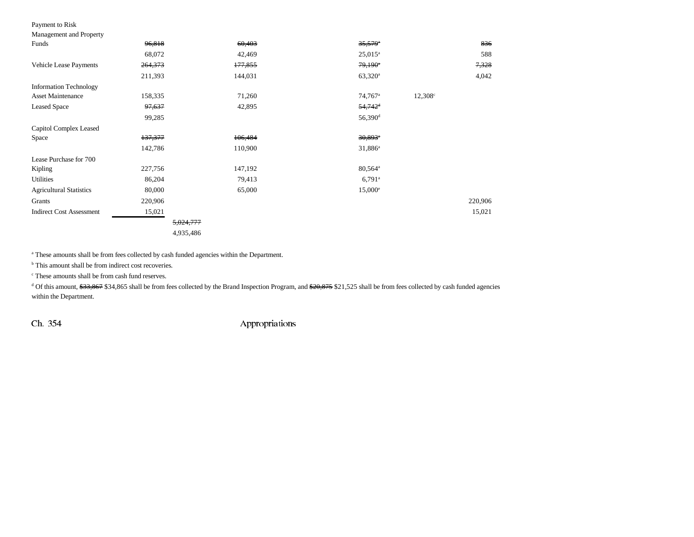### Payment to Risk

| Management and Property |  |  |
|-------------------------|--|--|

| Funds                           | 96,818    | 60,403  | $35,579$ <sup>*</sup> | 836              |
|---------------------------------|-----------|---------|-----------------------|------------------|
|                                 | 68,072    | 42,469  | $25,015^a$            | 588              |
| Vehicle Lease Payments          | 264,373   | 177,855 | $79,190^{\circ}$      | 7,328            |
|                                 | 211,393   | 144,031 | $63,320^a$            | 4,042            |
| <b>Information Technology</b>   |           |         |                       |                  |
| <b>Asset Maintenance</b>        | 158,335   | 71,260  | $74,767$ <sup>a</sup> | $12,308^{\circ}$ |
| <b>Leased Space</b>             | 97,637    | 42,895  | $54,742$ <sup>d</sup> |                  |
|                                 | 99,285    |         | $56,390$ <sup>d</sup> |                  |
| Capitol Complex Leased          |           |         |                       |                  |
| Space                           | 137,377   | 106,484 | $30,893$ <sup>*</sup> |                  |
|                                 | 142,786   | 110,900 | 31,886 <sup>a</sup>   |                  |
| Lease Purchase for 700          |           |         |                       |                  |
| Kipling                         | 227,756   | 147,192 | 80,564 <sup>a</sup>   |                  |
| Utilities                       | 86,204    | 79,413  | $6,791^{\circ}$       |                  |
| <b>Agricultural Statistics</b>  | 80,000    | 65,000  | $15,000^{\circ}$      |                  |
| Grants                          | 220,906   |         |                       | 220,906          |
| <b>Indirect Cost Assessment</b> | 15,021    |         |                       | 15,021           |
|                                 | 5,024,777 |         |                       |                  |
|                                 | 1025106   |         |                       |                  |

4,935,486

a These amounts shall be from fees collected by cash funded agencies within the Department.

<sup>b</sup> This amount shall be from indirect cost recoveries.

c These amounts shall be from cash fund reserves.

<sup>d</sup> Of this amount, \$33,867 \$34,865 shall be from fees collected by the Brand Inspection Program, and \$20,875 \$21,525 shall be from fees collected by cash funded agencies within the Department.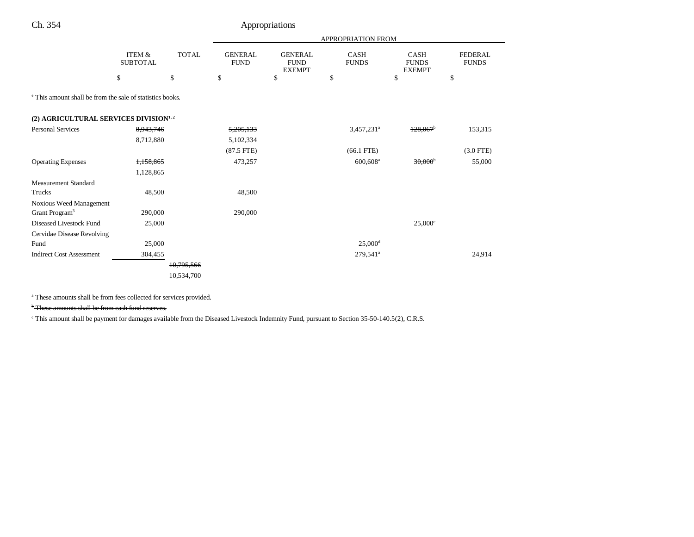# Ch. 354 Appropriations

|                                                                      |                           |              |                               |                                                | APPROPRIATION FROM          |                                              |                                |
|----------------------------------------------------------------------|---------------------------|--------------|-------------------------------|------------------------------------------------|-----------------------------|----------------------------------------------|--------------------------------|
|                                                                      | ITEM &<br><b>SUBTOTAL</b> | <b>TOTAL</b> | <b>GENERAL</b><br><b>FUND</b> | <b>GENERAL</b><br><b>FUND</b><br><b>EXEMPT</b> | <b>CASH</b><br><b>FUNDS</b> | <b>CASH</b><br><b>FUNDS</b><br><b>EXEMPT</b> | <b>FEDERAL</b><br><b>FUNDS</b> |
|                                                                      | \$                        | \$           | \$                            | \$                                             | \$                          | \$                                           | \$                             |
| <sup>e</sup> This amount shall be from the sale of statistics books. |                           |              |                               |                                                |                             |                                              |                                |
| (2) AGRICULTURAL SERVICES DIVISION <sup>1,2</sup>                    |                           |              |                               |                                                |                             |                                              |                                |
| <b>Personal Services</b>                                             | 8,943,746                 |              | 5,205,133                     |                                                | $3,457,231$ <sup>a</sup>    | 128,067                                      | 153,315                        |
|                                                                      | 8,712,880                 |              | 5,102,334                     |                                                |                             |                                              |                                |
|                                                                      |                           |              | $(87.5$ FTE)                  |                                                | $(66.1$ FTE)                |                                              | $(3.0$ FTE)                    |
| <b>Operating Expenses</b>                                            | 1,158,865                 |              | 473,257                       |                                                | $600,608$ <sup>a</sup>      | 30.000 <sup>b</sup>                          | 55,000                         |
|                                                                      | 1,128,865                 |              |                               |                                                |                             |                                              |                                |
| <b>Measurement Standard</b>                                          |                           |              |                               |                                                |                             |                                              |                                |
| Trucks                                                               | 48,500                    |              | 48,500                        |                                                |                             |                                              |                                |
| Noxious Weed Management                                              |                           |              |                               |                                                |                             |                                              |                                |
| Grant Program <sup>3</sup>                                           | 290,000                   |              | 290,000                       |                                                |                             |                                              |                                |
| Diseased Livestock Fund                                              | 25,000                    |              |                               |                                                |                             | $25,000^{\circ}$                             |                                |
| Cervidae Disease Revolving                                           |                           |              |                               |                                                |                             |                                              |                                |
| Fund                                                                 | 25,000                    |              |                               |                                                | $25,000$ <sup>d</sup>       |                                              |                                |
| <b>Indirect Cost Assessment</b>                                      | 304,455                   |              |                               |                                                | 279,541 <sup>a</sup>        |                                              | 24,914                         |
|                                                                      |                           | 10,795,566   |                               |                                                |                             |                                              |                                |
|                                                                      |                           | 10,534,700   |                               |                                                |                             |                                              |                                |

a These amounts shall be from fees collected for services provided.

b These amounts shall be from cash fund reserves.

<sup>c</sup> This amount shall be payment for damages available from the Diseased Livestock Indemnity Fund, pursuant to Section 35-50-140.5(2), C.R.S.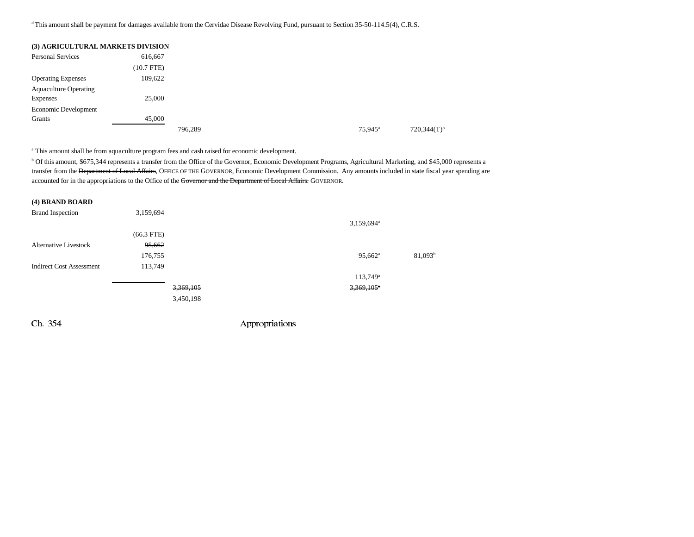<sup>d</sup> This amount shall be payment for damages available from the Cervidae Disease Revolving Fund, pursuant to Section 35-50-114.5(4), C.R.S.

| (3) AGRICULTURAL MARKETS DIVISION |              |         |                  |
|-----------------------------------|--------------|---------|------------------|
| <b>Personal Services</b>          | 616,667      |         |                  |
|                                   | $(10.7$ FTE) |         |                  |
| <b>Operating Expenses</b>         | 109,622      |         |                  |
| <b>Aquaculture Operating</b>      |              |         |                  |
| <b>Expenses</b>                   | 25,000       |         |                  |
| Economic Development              |              |         |                  |
| Grants                            | 45,000       |         |                  |
|                                   |              | 796.289 | $75,945^{\circ}$ |

a This amount shall be from aquaculture program fees and cash raised for economic development.

b Of this amount, \$675,344 represents a transfer from the Office of the Governor, Economic Development Programs, Agricultural Marketing, and \$45,000 represents a transfer from the <del>Department of Local Affairs</del>, OFFICE OF THE GOVERNOR, Economic Development Commission. Any amounts included in state fiscal year spending are accounted for in the appropriations to the Office of the Governor and the Department of Local Affairs. GOVERNOR.

| (4) BRAND BOARD                 |              |           |                          |            |
|---------------------------------|--------------|-----------|--------------------------|------------|
| <b>Brand Inspection</b>         | 3,159,694    |           |                          |            |
|                                 |              |           | $3,159,694^{\circ}$      |            |
|                                 | $(66.3$ FTE) |           |                          |            |
| <b>Alternative Livestock</b>    | 95,662       |           |                          |            |
|                                 | 176,755      |           | $95,662$ <sup>a</sup>    | $81,093^b$ |
| <b>Indirect Cost Assessment</b> | 113,749      |           |                          |            |
|                                 |              |           | $113,749$ <sup>a</sup>   |            |
|                                 |              | 3,369,105 | $3,369,105$ <sup>a</sup> |            |
|                                 |              | 3,450,198 |                          |            |
|                                 |              |           |                          |            |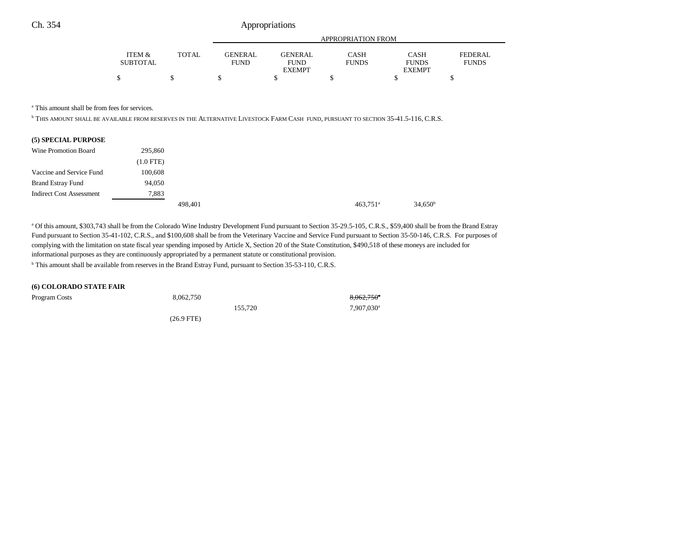|          |       |                |               | APPROPRIATION FROM |               |                |
|----------|-------|----------------|---------------|--------------------|---------------|----------------|
| ITEM &   | TOTAL | <b>GENERAL</b> | GENER AL.     | CASH               | <b>CASH</b>   | <b>FEDERAL</b> |
| SUBTOTAL |       | <b>FUND</b>    | <b>FUND</b>   | <b>FUNDS</b>       | <b>FUNDS</b>  | <b>FUNDS</b>   |
|          |       |                | <b>EXEMPT</b> |                    | <b>EXEMPT</b> |                |
|          |       |                |               |                    |               |                |

a This amount shall be from fees for services.

b THIS AMOUNT SHALL BE AVAILABLE FROM RESERVES IN THE ALTERNATIVE LIVESTOCK FARM CASH FUND, PURSUANT TO SECTION 35-41.5-116, C.R.S.

|  | (5) SPECIAL PURPOSE |  |
|--|---------------------|--|
|  |                     |  |

| Wine Promotion Board            | 295,860     |         |  |                        |                     |
|---------------------------------|-------------|---------|--|------------------------|---------------------|
|                                 | $(1.0$ FTE) |         |  |                        |                     |
| Vaccine and Service Fund        | 100,608     |         |  |                        |                     |
| <b>Brand Estray Fund</b>        | 94,050      |         |  |                        |                     |
| <b>Indirect Cost Assessment</b> | 7,883       |         |  |                        |                     |
|                                 |             | 498.401 |  | $463,751$ <sup>a</sup> | 34.650 <sup>b</sup> |

<sup>a</sup> Of this amount, \$303,743 shall be from the Colorado Wine Industry Development Fund pursuant to Section 35-29.5-105, C.R.S., \$59,400 shall be from the Brand Estray Fund pursuant to Section 35-41-102, C.R.S., and \$100,608 shall be from the Veterinary Vaccine and Service Fund pursuant to Section 35-50-146, C.R.S. For purposes of complying with the limitation on state fiscal year spending imposed by Article X, Section 20 of the State Constitution, \$490,518 of these moneys are included for informational purposes as they are continuously appropriated by a permanent statute or constitutional provision.

b This amount shall be available from reserves in the Brand Estray Fund, pursuant to Section 35-53-110, C.R.S.

#### **(6) COLORADO STATE FAIR**

| Program Costs | 8,062,750            | $8,062,750$ <sup>*</sup> |
|---------------|----------------------|--------------------------|
|               | 155.720              | 7,907,030 <sup>a</sup>   |
|               | $(26.9 \text{ FTE})$ |                          |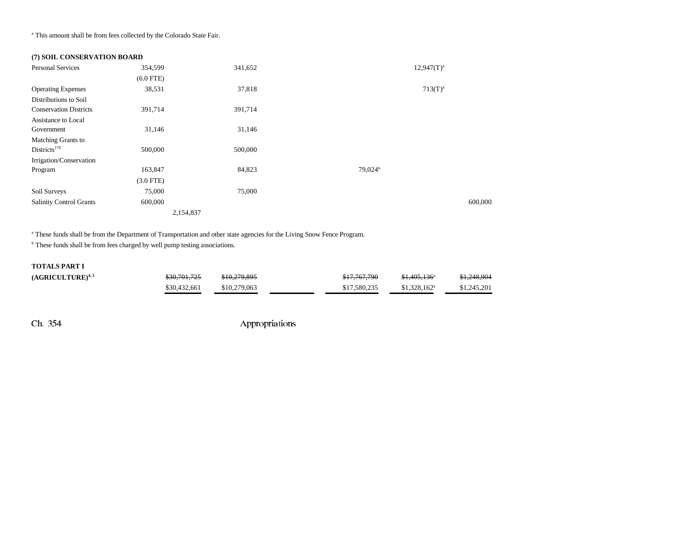a This amount shall be from fees collected by the Colorado State Fair.

## **(7) SOIL CONSERVATION BOARD**

| <b>Personal Services</b>       | 354,599     | 341,652   | $12,947(T)^{a}$     |              |
|--------------------------------|-------------|-----------|---------------------|--------------|
|                                | $(6.0$ FTE) |           |                     |              |
| <b>Operating Expenses</b>      | 38,531      | 37,818    |                     | $713(T)^{a}$ |
| Distributions to Soil          |             |           |                     |              |
| <b>Conservation Districts</b>  | 391,714     | 391,714   |                     |              |
| Assistance to Local            |             |           |                     |              |
| Government                     | 31,146      | 31,146    |                     |              |
| <b>Matching Grants to</b>      |             |           |                     |              |
| Districts <sup>179</sup>       | 500,000     | 500,000   |                     |              |
| Irrigation/Conservation        |             |           |                     |              |
| Program                        | 163,847     | 84,823    | 79,024 <sup>b</sup> |              |
|                                | $(3.0$ FTE) |           |                     |              |
| Soil Surveys                   | 75,000      | 75,000    |                     |              |
| <b>Salinity Control Grants</b> | 600,000     |           |                     | 600,000      |
|                                |             | 2,154,837 |                     |              |

<sup>a</sup> These funds shall be from the Department of Transportation and other state agencies for the Living Snow Fence Program.

<sup>b</sup> These funds shall be from fees charged by well pump testing associations.

#### **TOTALS PART I**

| (AGRICULTURE) <sup>4, 5</sup> | <del>\$30,701,725</del> | \$10,279,895 | \$17,767,790 | $$1.405.136$ <sup>a</sup> | \$1,248,904 |
|-------------------------------|-------------------------|--------------|--------------|---------------------------|-------------|
|                               | \$30,432,661            | \$10,279,063 | \$17,580,235 | $$1.328.162$ <sup>a</sup> | \$1,245,201 |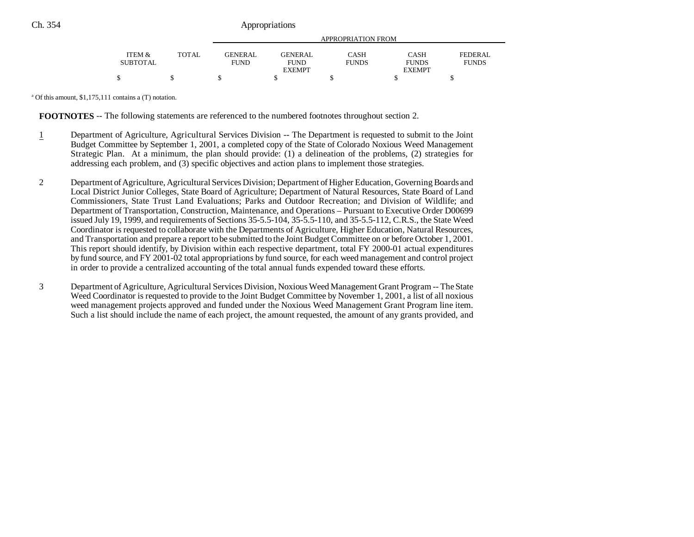|                 |       | APPROPRIATION FROM |               |              |               |              |
|-----------------|-------|--------------------|---------------|--------------|---------------|--------------|
|                 |       |                    |               |              |               |              |
| ITEM &          | TOTAL | <b>GENERAL</b>     | GENERAL       | <b>CASH</b>  | <b>CASH</b>   | FEDERAL      |
| <b>SUBTOTAL</b> |       | <b>FUND</b>        | <b>FUND</b>   | <b>FUNDS</b> | <b>FUNDS</b>  | <b>FUNDS</b> |
|                 |       |                    | <b>EXEMPT</b> |              | <b>EXEMPT</b> |              |
| \$              |       |                    |               |              |               |              |

a Of this amount, \$1,175,111 contains a (T) notation.

**FOOTNOTES** -- The following statements are referenced to the numbered footnotes throughout section 2.

- 1 Department of Agriculture, Agricultural Services Division -- The Department is requested to submit to the Joint Budget Committee by September 1, 2001, a completed copy of the State of Colorado Noxious Weed Management Strategic Plan. At a minimum, the plan should provide: (1) a delineation of the problems, (2) strategies for addressing each problem, and (3) specific objectives and action plans to implement those strategies.
- 2 Department of Agriculture, Agricultural Services Division; Department of Higher Education, Governing Boards and Local District Junior Colleges, State Board of Agriculture; Department of Natural Resources, State Board of Land Commissioners, State Trust Land Evaluations; Parks and Outdoor Recreation; and Division of Wildlife; and Department of Transportation, Construction, Maintenance, and Operations – Pursuant to Executive Order D00699 issued July 19, 1999, and requirements of Sections 35-5.5-104, 35-5.5-110, and 35-5.5-112, C.R.S., the State Weed Coordinator is requested to collaborate with the Departments of Agriculture, Higher Education, Natural Resources, and Transportation and prepare a report to be submitted to the Joint Budget Committee on or before October 1, 2001. This report should identify, by Division within each respective department, total FY 2000-01 actual expenditures by fund source, and FY 2001-02 total appropriations by fund source, for each weed management and control project in order to provide a centralized accounting of the total annual funds expended toward these efforts.
- 3 Department of Agriculture, Agricultural Services Division, Noxious Weed Management Grant Program -- The State Weed Coordinator is requested to provide to the Joint Budget Committee by November 1, 2001, a list of all noxious weed management projects approved and funded under the Noxious Weed Management Grant Program line item. Such a list should include the name of each project, the amount requested, the amount of any grants provided, and